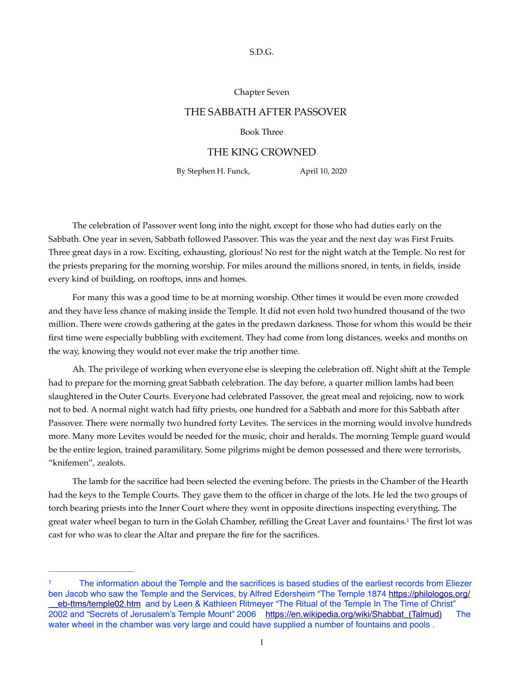#### S.D.G.

#### Chapter Seven

# THE SABBATH AFTER PASSOVER

## Book Three

### THE KING CROWNED

By Stephen H. Funck, April 10, 2020

The celebration of Passover went long into the night, except for those who had duties early on the Sabbath. One year in seven, Sabbath followed Passover. This was the year and the next day was First Fruits. Three great days in a row. Exciting, exhausting, glorious! No rest for the night watch at the Temple. No rest for the priests preparing for the morning worship. For miles around the millions snored, in tents, in fields, inside every kind of building, on rooftops, inns and homes.

For many this was a good time to be at morning worship. Other times it would be even more crowded and they have less chance of making inside the Temple. It did not even hold two hundred thousand of the two million. There were crowds gathering at the gates in the predawn darkness. Those for whom this would be their first time were especially bubbling with excitement. They had come from long distances, weeks and months on the way, knowing they would not ever make the trip another time.

Ah. The privilege of working when everyone else is sleeping the celebration off. Night shift at the Temple had to prepare for the morning great Sabbath celebration. The day before, a quarter million lambs had been slaughtered in the Outer Courts. Everyone had celebrated Passover, the great meal and rejoicing, now to work not to bed. A normal night watch had fifty priests, one hundred for a Sabbath and more for this Sabbath after Passover. There were normally two hundred forty Levites. The services in the morning would involve hundreds more. Many more Levites would be needed for the music, choir and heralds. The morning Temple guard would be the entire legion, trained paramilitary. Some pilgrims might be demon possessed and there were terrorists, "knifemen", zealots.

<span id="page-0-1"></span>The lamb for the sacrifice had been selected the evening before. The priests in the Chamber of the Hearth had the keys to the Temple Courts. They gave them to the officer in charge of the lots. He led the two groups of torch bearing priests into the Inner Court where they went in opposite directions inspecting everything. The great water wheel began to turn in the Golah Chamber, refilling the Great Laver and fountains[.](#page-0-0) The first lot was [1](#page-0-0) cast for who was to clear the Altar and prepare the fire for the sacrifices.

<span id="page-0-0"></span>The information about the Temple and the sacrifices is based studies of the earliest records from Eliezer ben Jacob who saw the Temple and the Services, by Alfred Edersheim "The Temple 1874 [https://philologos.org/](https://philologos.org/__eb-ttms/temple02.htm) eb-ttms/temple02.htm and by Leen & Kathleen Ritmeyer "The Ritual of the Temple In The Time of Christ" 2002 and "Secrets of Jerusalem's Temple Mount" 2006 https://en.wikipedia.org/wiki/Shabbat (Talmud) The water wheel in the chamber was very large and could have supplied a number of fountains and pools.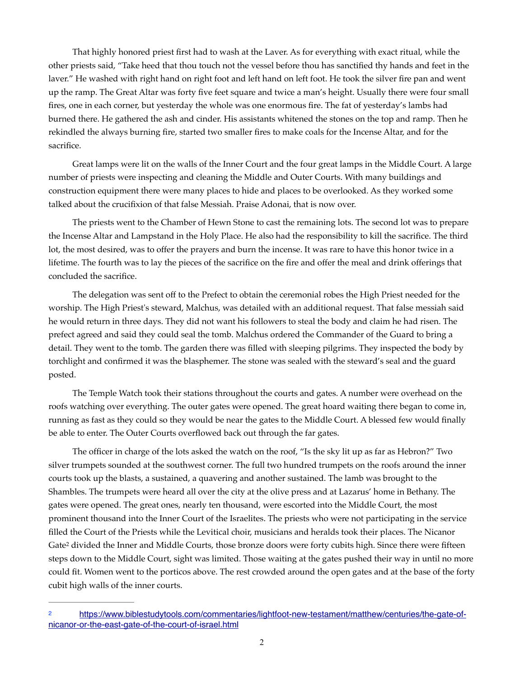That highly honored priest first had to wash at the Laver. As for everything with exact ritual, while the other priests said, "Take heed that thou touch not the vessel before thou has sanctified thy hands and feet in the laver." He washed with right hand on right foot and left hand on left foot. He took the silver fire pan and went up the ramp. The Great Altar was forty five feet square and twice a man's height. Usually there were four small fires, one in each corner, but yesterday the whole was one enormous fire. The fat of yesterday's lambs had burned there. He gathered the ash and cinder. His assistants whitened the stones on the top and ramp. Then he rekindled the always burning fire, started two smaller fires to make coals for the Incense Altar, and for the sacrifice.

Great lamps were lit on the walls of the Inner Court and the four great lamps in the Middle Court. A large number of priests were inspecting and cleaning the Middle and Outer Courts. With many buildings and construction equipment there were many places to hide and places to be overlooked. As they worked some talked about the crucifixion of that false Messiah. Praise Adonai, that is now over.

The priests went to the Chamber of Hewn Stone to cast the remaining lots. The second lot was to prepare the Incense Altar and Lampstand in the Holy Place. He also had the responsibility to kill the sacrifice. The third lot, the most desired, was to offer the prayers and burn the incense. It was rare to have this honor twice in a lifetime. The fourth was to lay the pieces of the sacrifice on the fire and offer the meal and drink offerings that concluded the sacrifice.

The delegation was sent off to the Prefect to obtain the ceremonial robes the High Priest needed for the worship. The High Priest's steward, Malchus, was detailed with an additional request. That false messiah said he would return in three days. They did not want his followers to steal the body and claim he had risen. The prefect agreed and said they could seal the tomb. Malchus ordered the Commander of the Guard to bring a detail. They went to the tomb. The garden there was filled with sleeping pilgrims. They inspected the body by torchlight and confirmed it was the blasphemer. The stone was sealed with the steward's seal and the guard posted.

The Temple Watch took their stations throughout the courts and gates. A number were overhead on the roofs watching over everything. The outer gates were opened. The great hoard waiting there began to come in, running as fast as they could so they would be near the gates to the Middle Court. A blessed few would finally be able to enter. The Outer Courts overflowed back out through the far gates.

The officer in charge of the lots asked the watch on the roof, "Is the sky lit up as far as Hebron?" Two silver trumpets sounded at the southwest corner. The full two hundred trumpets on the roofs around the inner courts took up the blasts, a sustained, a quavering and another sustained. The lamb was brought to the Shambles. The trumpets were heard all over the city at the olive press and at Lazarus' home in Bethany. The gates were opened. The great ones, nearly ten thousand, were escorted into the Middle Court, the most prominent thousand into the Inner Court of the Israelites. The priests who were not participating in the service filled the Court of the Priests while the Levitical choir, musicians and heralds took their places. The Nicanor Gate<sup>2</sup> divided th[e](#page-1-0) Inner and Middle Courts, those bronze doors were forty cubits high. Since there were fifteen steps down to the Middle Court, sight was limited. Those waiting at the gates pushed their way in until no more could fit. Women went to the porticos above. The rest crowded around the open gates and at the base of the forty cubit high walls of the inner courts.

<span id="page-1-1"></span><span id="page-1-0"></span>[https://www.biblestudytools.com/commentaries/lightfoot-new-testament/matthew/centuries/the-gate-of-](https://www.biblestudytools.com/commentaries/lightfoot-new-testament/matthew/centuries/the-gate-of-nicanor-or-the-east-gate-of-the-court-of-israel.html) [2](#page-1-1) [nicanor-or-the-east-gate-of-the-court-of-israel.html](https://www.biblestudytools.com/commentaries/lightfoot-new-testament/matthew/centuries/the-gate-of-nicanor-or-the-east-gate-of-the-court-of-israel.html)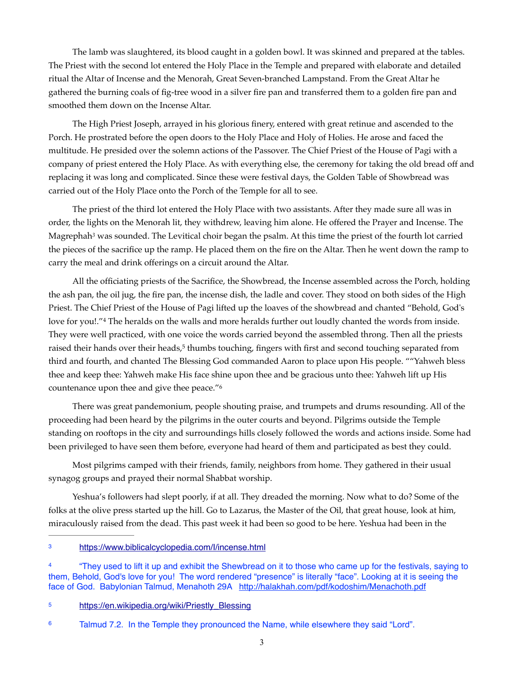The lamb was slaughtered, its blood caught in a golden bowl. It was skinned and prepared at the tables. The Priest with the second lot entered the Holy Place in the Temple and prepared with elaborate and detailed ritual the Altar of Incense and the Menorah, Great Seven-branched Lampstand. From the Great Altar he gathered the burning coals of fig-tree wood in a silver fire pan and transferred them to a golden fire pan and smoothed them down on the Incense Altar.

The High Priest Joseph, arrayed in his glorious finery, entered with great retinue and ascended to the Porch. He prostrated before the open doors to the Holy Place and Holy of Holies. He arose and faced the multitude. He presided over the solemn actions of the Passover. The Chief Priest of the House of Pagi with a company of priest entered the Holy Place. As with everything else, the ceremony for taking the old bread off and replacing it was long and complicated. Since these were festival days, the Golden Table of Showbread was carried out of the Holy Place onto the Porch of the Temple for all to see.

<span id="page-2-4"></span>The priest of the third lot entered the Holy Place with two assistants. After they made sure all was in order, the lights on the Menorah lit, they withdrew, leaving him alone. He offered the Prayer and Incense. The Magrephah<sup>3</sup> was sounded. The Levitical choir began the psalm. At this time the priest of the fourth lot carried the pieces of the sacrifice up the ramp. He placed them on the fire on the Altar. Then he went down the ramp to carry the meal and drink offerings on a circuit around the Altar.

<span id="page-2-5"></span>All the officiating priests of the Sacrifice, the Showbread, the Incense assembled across the Porch, holding the ash pan, the oil jug, the fire pan, the incense dish, the ladle and cover. They stood on both sides of the High Priest. The Chief Priest of the House of Pagi lifted up the loaves of the showbread and chanted "Behold, God's lovefor you!."<sup>[4](#page-2-1)</sup> The heralds on the walls and more heralds further out loudly chanted the words from inside. They were well practiced, with one voice the words carried beyond the assembled throng. Then all the priests raised their hands over their heads,<sup>[5](#page-2-2)</sup> thumbs touching, fingers with first and second touching separated from third and fourth, and chanted The Blessing God commanded Aaron to place upon His people. ""Yahweh bless thee and keep thee: Yahweh make His face shine upon thee and be gracious unto thee: Yahweh lift up His countenance upon thee and give thee peace."<sup>6</sup>

<span id="page-2-7"></span><span id="page-2-6"></span>There was great pandemonium, people shouting praise, and trumpets and drums resounding. All of the proceeding had been heard by the pilgrims in the outer courts and beyond. Pilgrims outside the Temple standing on rooftops in the city and surroundings hills closely followed the words and actions inside. Some had been privileged to have seen them before, everyone had heard of them and participated as best they could.

Most pilgrims camped with their friends, family, neighbors from home. They gathered in their usual synagog groups and prayed their normal Shabbat worship.

Yeshua's followers had slept poorly, if at all. They dreaded the morning. Now what to do? Some of the folks at the olive press started up the hill. Go to Lazarus, the Master of the Oil, that great house, look at him, miraculously raised from the dead. This past week it had been so good to be here. Yeshua had been in the

<span id="page-2-0"></span><https://www.biblicalcyclopedia.com/I/incense.html>[3](#page-2-4)

<span id="page-2-1"></span> <sup>&</sup>quot;They used to lift it up and exhibit the Shewbread on it to those who came up for the festivals, saying to [4](#page-2-5) them, Behold, God's love for you! The word rendered "presence" is literally "face". Looking at it is seeing the face of God. Babylonian Talmud, Menahoth 29A http://halakhah.com/pdf/kodoshim/Menachoth.pdf

<span id="page-2-2"></span>[<sup>5</sup>](#page-2-6) https://en.wikipedia.org/wiki/Priestly Blessing

<span id="page-2-3"></span><sup>&</sup>lt;sup>[6](#page-2-7)</sup> Talmud 7.2. In the Temple they pronounced the Name, while elsewhere they said "Lord".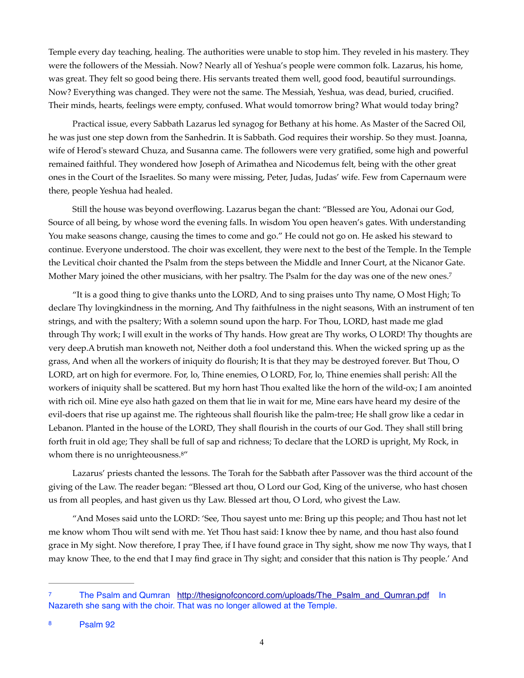Temple every day teaching, healing. The authorities were unable to stop him. They reveled in his mastery. They were the followers of the Messiah. Now? Nearly all of Yeshua's people were common folk. Lazarus, his home, was great. They felt so good being there. His servants treated them well, good food, beautiful surroundings. Now? Everything was changed. They were not the same. The Messiah, Yeshua, was dead, buried, crucified. Their minds, hearts, feelings were empty, confused. What would tomorrow bring? What would today bring?

Practical issue, every Sabbath Lazarus led synagog for Bethany at his home. As Master of the Sacred Oil, he was just one step down from the Sanhedrin. It is Sabbath. God requires their worship. So they must. Joanna, wife of Herod's steward Chuza, and Susanna came. The followers were very gratified, some high and powerful remained faithful. They wondered how Joseph of Arimathea and Nicodemus felt, being with the other great ones in the Court of the Israelites. So many were missing, Peter, Judas, Judas' wife. Few from Capernaum were there, people Yeshua had healed.

Still the house was beyond overflowing. Lazarus began the chant: "Blessed are You, Adonai our God, Source of all being, by whose word the evening falls. In wisdom You open heaven's gates. With understanding You make seasons change, causing the times to come and go." He could not go on. He asked his steward to continue. Everyone understood. The choir was excellent, they were next to the best of the Temple. In the Temple the Levitical choir chanted the Psalm from the steps between the Middle and Inner Court, at the Nicanor Gate. Mother Mary joined the other musicians, with her psaltry. The Psalm for the day was one of the new ones.[7](#page-3-0)

<span id="page-3-2"></span>"It is a good thing to give thanks unto the LORD, And to sing praises unto Thy name, O Most High; To declare Thy lovingkindness in the morning, And Thy faithfulness in the night seasons, With an instrument of ten strings, and with the psaltery; With a solemn sound upon the harp. For Thou, LORD, hast made me glad through Thy work; I will exult in the works of Thy hands. How great are Thy works, O LORD! Thy thoughts are very deep.A brutish man knoweth not, Neither doth a fool understand this. When the wicked spring up as the grass, And when all the workers of iniquity do flourish; It is that they may be destroyed forever. But Thou, O LORD, art on high for evermore. For, lo, Thine enemies, O LORD, For, lo, Thine enemies shall perish: All the workers of iniquity shall be scattered. But my horn hast Thou exalted like the horn of the wild-ox; I am anointed with rich oil. Mine eye also hath gazed on them that lie in wait for me, Mine ears have heard my desire of the evil-doers that rise up against me. The righteous shall flourish like the palm-tree; He shall grow like a cedar in Lebanon. Planted in the house of the LORD, They shall flourish in the courts of our God. They shall still bring forth fruit in old age; They shall be full of sap and richness; To declare that the LORD is upright, My Rock, in whom there is no unrighteousness.<sup>8["](#page-3-1)</sup>

<span id="page-3-3"></span>Lazarus' priests chanted the lessons. The Torah for the Sabbath after Passover was the third account of the giving of the Law. The reader began: "Blessed art thou, O Lord our God, King of the universe, who hast chosen us from all peoples, and hast given us thy Law. Blessed art thou, O Lord, who givest the Law.

"And Moses said unto the LORD: 'See, Thou sayest unto me: Bring up this people; and Thou hast not let me know whom Thou wilt send with me. Yet Thou hast said: I know thee by name, and thou hast also found grace in My sight. Now therefore, I pray Thee, if I have found grace in Thy sight, show me now Thy ways, that I may know Thee, to the end that I may find grace in Thy sight; and consider that this nation is Thy people.' And

<span id="page-3-1"></span><span id="page-3-0"></span>The Psalm and Qumran http://thesignofconcord.com/uploads/The Psalm and Qumran.pdf In Nazareth she sang with the choir. That was no longer allowed at the Temple.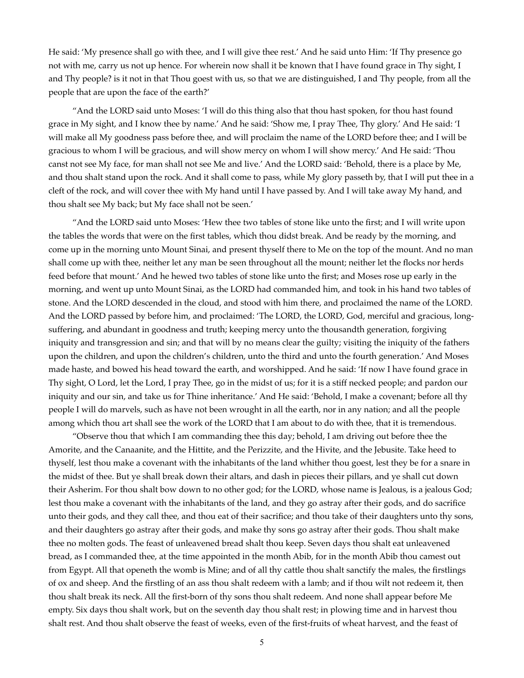He said: 'My presence shall go with thee, and I will give thee rest.' And he said unto Him: 'If Thy presence go not with me, carry us not up hence. For wherein now shall it be known that I have found grace in Thy sight, I and Thy people? is it not in that Thou goest with us, so that we are distinguished, I and Thy people, from all the people that are upon the face of the earth?'

"And the LORD said unto Moses: 'I will do this thing also that thou hast spoken, for thou hast found grace in My sight, and I know thee by name.' And he said: 'Show me, I pray Thee, Thy glory.' And He said: 'I will make all My goodness pass before thee, and will proclaim the name of the LORD before thee; and I will be gracious to whom I will be gracious, and will show mercy on whom I will show mercy.' And He said: 'Thou canst not see My face, for man shall not see Me and live.' And the LORD said: 'Behold, there is a place by Me, and thou shalt stand upon the rock. And it shall come to pass, while My glory passeth by, that I will put thee in a cleft of the rock, and will cover thee with My hand until I have passed by. And I will take away My hand, and thou shalt see My back; but My face shall not be seen.'

"And the LORD said unto Moses: 'Hew thee two tables of stone like unto the first; and I will write upon the tables the words that were on the first tables, which thou didst break. And be ready by the morning, and come up in the morning unto Mount Sinai, and present thyself there to Me on the top of the mount. And no man shall come up with thee, neither let any man be seen throughout all the mount; neither let the flocks nor herds feed before that mount.' And he hewed two tables of stone like unto the first; and Moses rose up early in the morning, and went up unto Mount Sinai, as the LORD had commanded him, and took in his hand two tables of stone. And the LORD descended in the cloud, and stood with him there, and proclaimed the name of the LORD. And the LORD passed by before him, and proclaimed: 'The LORD, the LORD, God, merciful and gracious, longsuffering, and abundant in goodness and truth; keeping mercy unto the thousandth generation, forgiving iniquity and transgression and sin; and that will by no means clear the guilty; visiting the iniquity of the fathers upon the children, and upon the children's children, unto the third and unto the fourth generation.' And Moses made haste, and bowed his head toward the earth, and worshipped. And he said: 'If now I have found grace in Thy sight, O Lord, let the Lord, I pray Thee, go in the midst of us; for it is a stiff necked people; and pardon our iniquity and our sin, and take us for Thine inheritance.' And He said: 'Behold, I make a covenant; before all thy people I will do marvels, such as have not been wrought in all the earth, nor in any nation; and all the people among which thou art shall see the work of the LORD that I am about to do with thee, that it is tremendous.

"Observe thou that which I am commanding thee this day; behold, I am driving out before thee the Amorite, and the Canaanite, and the Hittite, and the Perizzite, and the Hivite, and the Jebusite. Take heed to thyself, lest thou make a covenant with the inhabitants of the land whither thou goest, lest they be for a snare in the midst of thee. But ye shall break down their altars, and dash in pieces their pillars, and ye shall cut down their Asherim. For thou shalt bow down to no other god; for the LORD, whose name is Jealous, is a jealous God; lest thou make a covenant with the inhabitants of the land, and they go astray after their gods, and do sacrifice unto their gods, and they call thee, and thou eat of their sacrifice; and thou take of their daughters unto thy sons, and their daughters go astray after their gods, and make thy sons go astray after their gods. Thou shalt make thee no molten gods. The feast of unleavened bread shalt thou keep. Seven days thou shalt eat unleavened bread, as I commanded thee, at the time appointed in the month Abib, for in the month Abib thou camest out from Egypt. All that openeth the womb is Mine; and of all thy cattle thou shalt sanctify the males, the firstlings of ox and sheep. And the firstling of an ass thou shalt redeem with a lamb; and if thou wilt not redeem it, then thou shalt break its neck. All the first-born of thy sons thou shalt redeem. And none shall appear before Me empty. Six days thou shalt work, but on the seventh day thou shalt rest; in plowing time and in harvest thou shalt rest. And thou shalt observe the feast of weeks, even of the first-fruits of wheat harvest, and the feast of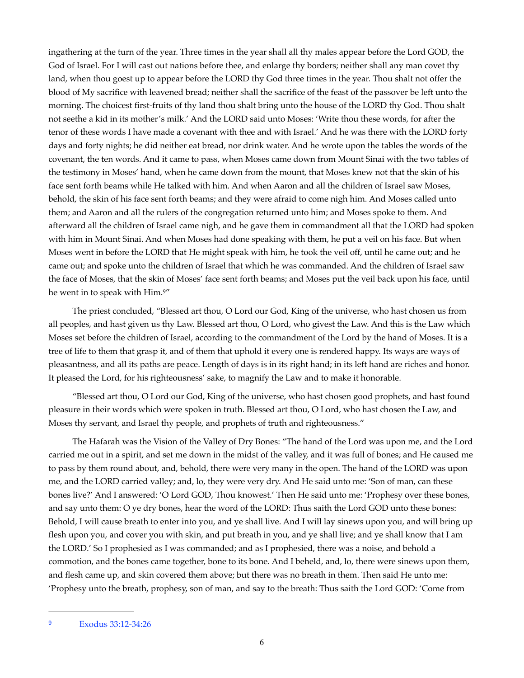ingathering at the turn of the year. Three times in the year shall all thy males appear before the Lord GOD, the God of Israel. For I will cast out nations before thee, and enlarge thy borders; neither shall any man covet thy land, when thou goest up to appear before the LORD thy God three times in the year. Thou shalt not offer the blood of My sacrifice with leavened bread; neither shall the sacrifice of the feast of the passover be left unto the morning. The choicest first-fruits of thy land thou shalt bring unto the house of the LORD thy God. Thou shalt not seethe a kid in its mother's milk.' And the LORD said unto Moses: 'Write thou these words, for after the tenor of these words I have made a covenant with thee and with Israel.' And he was there with the LORD forty days and forty nights; he did neither eat bread, nor drink water. And he wrote upon the tables the words of the covenant, the ten words. And it came to pass, when Moses came down from Mount Sinai with the two tables of the testimony in Moses' hand, when he came down from the mount, that Moses knew not that the skin of his face sent forth beams while He talked with him. And when Aaron and all the children of Israel saw Moses, behold, the skin of his face sent forth beams; and they were afraid to come nigh him. And Moses called unto them; and Aaron and all the rulers of the congregation returned unto him; and Moses spoke to them. And afterward all the children of Israel came nigh, and he gave them in commandment all that the LORD had spoken with him in Mount Sinai. And when Moses had done speaking with them, he put a veil on his face. But when Moses went in before the LORD that He might speak with him, he took the veil off, until he came out; and he came out; and spoke unto the children of Israel that which he was commanded. And the children of Israel saw the face of Moses, that the skin of Moses' face sent forth beams; and Moses put the veil back upon his face, until he went in to speak with Him[.9"](#page-5-0)

<span id="page-5-1"></span>The priest concluded, "Blessed art thou, O Lord our God, King of the universe, who hast chosen us from all peoples, and hast given us thy Law. Blessed art thou, O Lord, who givest the Law. And this is the Law which Moses set before the children of Israel, according to the commandment of the Lord by the hand of Moses. It is a tree of life to them that grasp it, and of them that uphold it every one is rendered happy. Its ways are ways of pleasantness, and all its paths are peace. Length of days is in its right hand; in its left hand are riches and honor. It pleased the Lord, for his righteousness' sake, to magnify the Law and to make it honorable.

"Blessed art thou, O Lord our God, King of the universe, who hast chosen good prophets, and hast found pleasure in their words which were spoken in truth. Blessed art thou, O Lord, who hast chosen the Law, and Moses thy servant, and Israel thy people, and prophets of truth and righteousness."

The Hafarah was the Vision of the Valley of Dry Bones: "The hand of the Lord was upon me, and the Lord carried me out in a spirit, and set me down in the midst of the valley, and it was full of bones; and He caused me to pass by them round about, and, behold, there were very many in the open. The hand of the LORD was upon me, and the LORD carried valley; and, lo, they were very dry. And He said unto me: 'Son of man, can these bones live?' And I answered: 'O Lord GOD, Thou knowest.' Then He said unto me: 'Prophesy over these bones, and say unto them: O ye dry bones, hear the word of the LORD: Thus saith the Lord GOD unto these bones: Behold, I will cause breath to enter into you, and ye shall live. And I will lay sinews upon you, and will bring up flesh upon you, and cover you with skin, and put breath in you, and ye shall live; and ye shall know that I am the LORD.' So I prophesied as I was commanded; and as I prophesied, there was a noise, and behold a commotion, and the bones came together, bone to its bone. And I beheld, and, lo, there were sinews upon them, and flesh came up, and skin covered them above; but there was no breath in them. Then said He unto me: 'Prophesy unto the breath, prophesy, son of man, and say to the breath: Thus saith the Lord GOD: 'Come from

<span id="page-5-0"></span>Exodus 33:12-34:26 [9](#page-5-1)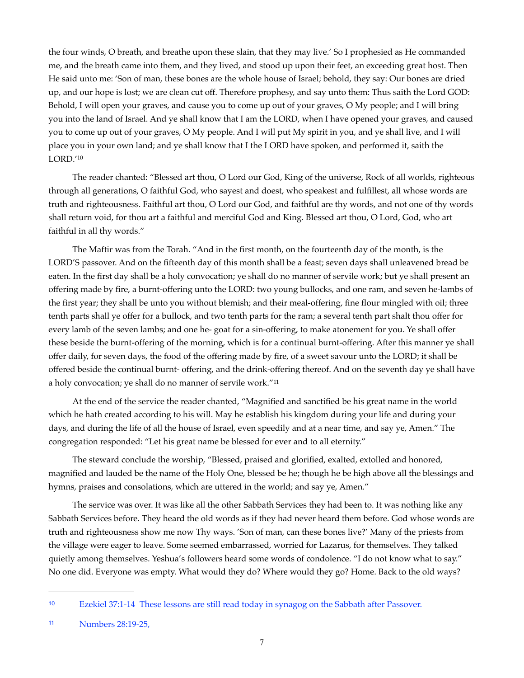the four winds, O breath, and breathe upon these slain, that they may live.' So I prophesied as He commanded me, and the breath came into them, and they lived, and stood up upon their feet, an exceeding great host. Then He said unto me: 'Son of man, these bones are the whole house of Israel; behold, they say: Our bones are dried up, and our hope is lost; we are clean cut off. Therefore prophesy, and say unto them: Thus saith the Lord GOD: Behold, I will open your graves, and cause you to come up out of your graves, O My people; and I will bring you into the land of Israel. And ye shall know that I am the LORD, when I have opened your graves, and caused you to come up out of your graves, O My people. And I will put My spirit in you, and ye shall live, and I will place you in your own land; and ye shall know that I the LORD have spoken, and performed it, saith the LORD.['10](#page-6-0)

<span id="page-6-2"></span>The reader chanted: "Blessed art thou, O Lord our God, King of the universe, Rock of all worlds, righteous through all generations, O faithful God, who sayest and doest, who speakest and fulfillest, all whose words are truth and righteousness. Faithful art thou, O Lord our God, and faithful are thy words, and not one of thy words shall return void, for thou art a faithful and merciful God and King. Blessed art thou, O Lord, God, who art faithful in all thy words."

The Maftir was from the Torah. "And in the first month, on the fourteenth day of the month, is the LORD'S passover. And on the fifteenth day of this month shall be a feast; seven days shall unleavened bread be eaten. In the first day shall be a holy convocation; ye shall do no manner of servile work; but ye shall present an offering made by fire, a burnt-offering unto the LORD: two young bullocks, and one ram, and seven he-lambs of the first year; they shall be unto you without blemish; and their meal-offering, fine flour mingled with oil; three tenth parts shall ye offer for a bullock, and two tenth parts for the ram; a several tenth part shalt thou offer for every lamb of the seven lambs; and one he- goat for a sin-offering, to make atonement for you. Ye shall offer these beside the burnt-offering of the morning, which is for a continual burnt-offering. After this manner ye shall offer daily, for seven days, the food of the offering made by fire, of a sweet savour unto the LORD; it shall be offered beside the continual burnt- offering, and the drink-offering thereof. And on the seventh day ye shall have a holy convocation; ye shall do no manner of servile work."[11](#page-6-1)

<span id="page-6-3"></span>At the end of the service the reader chanted, "Magnified and sanctified be his great name in the world which he hath created according to his will. May he establish his kingdom during your life and during your days, and during the life of all the house of Israel, even speedily and at a near time, and say ye, Amen." The congregation responded: "Let his great name be blessed for ever and to all eternity."

The steward conclude the worship, "Blessed, praised and glorified, exalted, extolled and honored, magnified and lauded be the name of the Holy One, blessed be he; though he be high above all the blessings and hymns, praises and consolations, which are uttered in the world; and say ye, Amen."

The service was over. It was like all the other Sabbath Services they had been to. It was nothing like any Sabbath Services before. They heard the old words as if they had never heard them before. God whose words are truth and righteousness show me now Thy ways. 'Son of man, can these bones live?' Many of the priests from the village were eager to leave. Some seemed embarrassed, worried for Lazarus, for themselves. They talked quietly among themselves. Yeshua's followers heard some words of condolence. "I do not know what to say." No one did. Everyone was empty. What would they do? Where would they go? Home. Back to the old ways?

<span id="page-6-0"></span>Ezekiel 37:1-14 These lessons are still read today in synagog on the Sabbath after Passover. [10](#page-6-2)

<span id="page-6-1"></span>[<sup>11</sup>](#page-6-3) **Numbers 28:19-25,**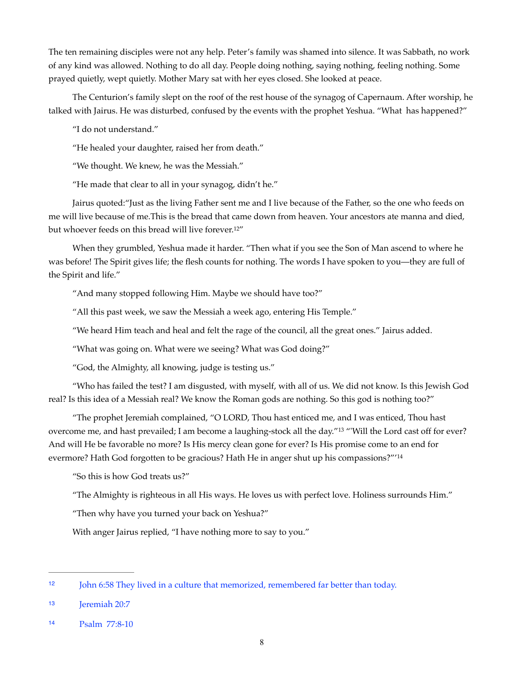The ten remaining disciples were not any help. Peter's family was shamed into silence. It was Sabbath, no work of any kind was allowed. Nothing to do all day. People doing nothing, saying nothing, feeling nothing. Some prayed quietly, wept quietly. Mother Mary sat with her eyes closed. She looked at peace.

The Centurion's family slept on the roof of the rest house of the synagog of Capernaum. After worship, he talked with Jairus. He was disturbed, confused by the events with the prophet Yeshua. "What has happened?"

"I do not understand."

"He healed your daughter, raised her from death."

"We thought. We knew, he was the Messiah."

<span id="page-7-3"></span>"He made that clear to all in your synagog, didn't he."

Jairus quoted:"Just as the living Father sent me and I live because of the Father, so the one who feeds on me will live because of me.This is the bread that came down from heaven. Your ancestors ate manna and died, but whoever feeds on this bread will live forever[.12"](#page-7-0)

When they grumbled, Yeshua made it harder. "Then what if you see the Son of Man ascend to where he was before! The Spirit gives life; the flesh counts for nothing. The words I have spoken to you—they are full of the Spirit and life."

"And many stopped following Him. Maybe we should have too?"

"All this past week, we saw the Messiah a week ago, entering His Temple."

"We heard Him teach and heal and felt the rage of the council, all the great ones." Jairus added.

"What was going on. What were we seeing? What was God doing?"

"God, the Almighty, all knowing, judge is testing us."

"Who has failed the test? I am disgusted, with myself, with all of us. We did not know. Is this Jewish God real? Is this idea of a Messiah real? We know the Roman gods are nothing. So this god is nothing too?"

"The prophet Jeremiah complained, "O LORD, Thou hast enticed me, and I was enticed, Thou hast overcome me, and hast prevailed; I am become a laughing-stock all the day.["](#page-7-1)<sup>[13](#page-7-1)</sup> "'Will the Lord cast off for ever? And will He be favorable no more? Is His mercy clean gone for ever? Is His promise come to an end for evermore? Hath God forgotten to be gracious? Hath He in anger shut up his compassions?"['14](#page-7-2)

<span id="page-7-5"></span><span id="page-7-4"></span>"So this is how God treats us?"

"The Almighty is righteous in all His ways. He loves us with perfect love. Holiness surrounds Him."

"Then why have you turned your back on Yeshua?"

With anger Jairus replied, "I have nothing more to say to you."

<span id="page-7-0"></span>[<sup>12</sup>](#page-7-3) John 6:58 They lived in a culture that memorized, remembered far better than today.

<span id="page-7-1"></span>[<sup>13</sup>](#page-7-4) **Ieremiah 20:7** 

<span id="page-7-2"></span>[<sup>14</sup>](#page-7-5) Psalm 77:8-10